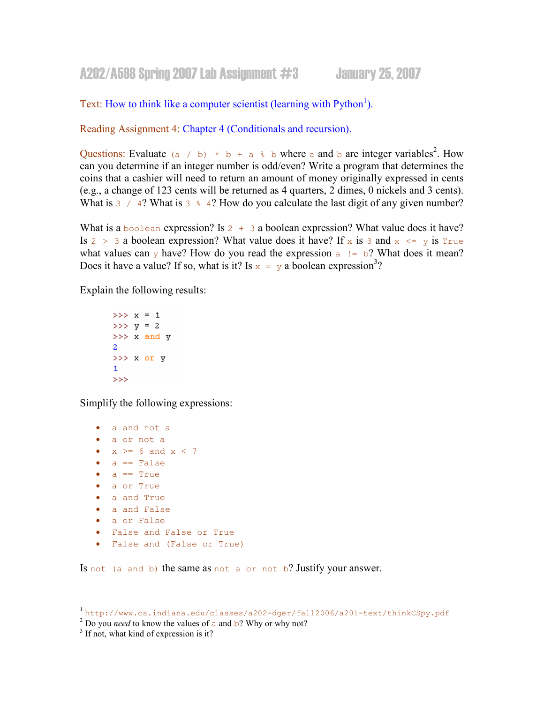## Text: How to think like a computer scientist (learning with  $Python<sup>1</sup>$ ).

Reading Assignment 4: Chapter 4 (Conditionals and recursion).

Questions: Evaluate (a / b)  $*$  b + a  $*$  b where a and b are integer variables<sup>2</sup>. How can you determine if an integer number is odd/even? Write a program that determines the coins that a cashier will need to return an amount of money originally expressed in cents (e.g., a change of 123 cents will be returned as 4 quarters, 2 dimes, 0 nickels and 3 cents). What is  $3 / 4$ ? What is  $3 \div 4$ ? How do you calculate the last digit of any given number?

What is a boolean expression? Is  $2 + 3$  a boolean expression? What value does it have? Is 2 > 3 a boolean expression? What value does it have? If x is 3 and  $x \le y$  is True what values can y have? How do you read the expression  $a := b$ ? What does it mean? Does it have a value? If so, what is it? Is  $x = y$  a boolean expression<sup>3</sup>?

Explain the following results:

```
>>x = 1>> y = 2>> x and y
\mathbf{2}>>x or y
\mathbf{1}>>>
```
Simplify the following expressions:

|  | a and not a |  |
|--|-------------|--|
|  |             |  |

- a or not a
- $x \ge 6$  and  $x \le 7$
- $\bullet$  a == False
- $a == True$
- a or True
- a and True
- a and False
- a or False
- False and False or True
- False and (False or True)

Is not (a and b) the same as not a or not b? Justify your answer.

 1 http://www.cs.indiana.edu/classes/a202-dger/fall2006/a201-text/thinkCSpy.pdf

<sup>&</sup>lt;sup>2</sup> Do you *need* to know the values of a and  $\frac{b}{2}$ ? Why or why not?

<sup>&</sup>lt;sup>3</sup> If not, what kind of expression is it?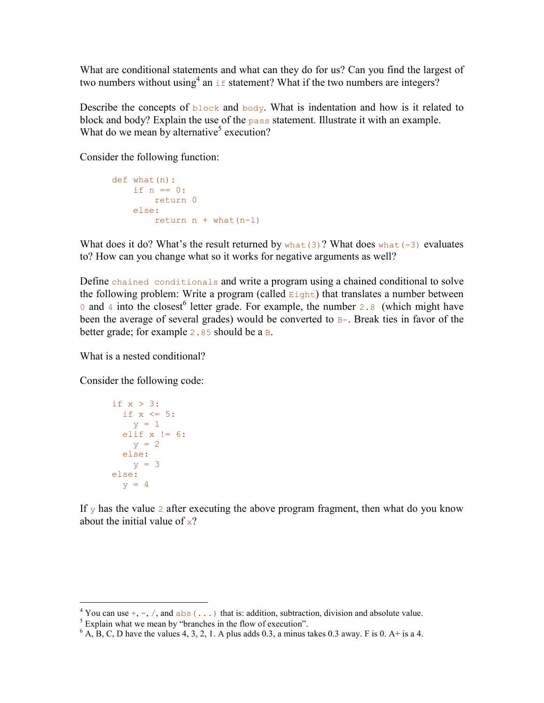What are conditional statements and what can they do for us? Can you find the largest of two numbers without using<sup>4</sup> an  $\pm$  statement? What if the two numbers are integers?

Describe the concepts of  $block$  colock and  $body$ . What is indentation and how is it related to block and body? Explain the use of the pass statement. Illustrate it with an example. What do we mean by alternative<sup>5</sup> execution?

Consider the following function:

```
def what(n): 
    if n == 0:
        return 0 
     else: 
        return n + what(n-1)
```
What does it do? What's the result returned by  $\text{what}$ (3)? What does what(-3) evaluates to? How can you change what so it works for negative arguments as well?

Define chained conditionals and write a program using a chained conditional to solve the following problem: Write a program (called  $E_{\text{right}}$ ) that translates a number between 0 and 4 into the closest<sup>6</sup> letter grade. For example, the number  $2.8$  (which might have been the average of several grades) would be converted to  $B$ -. Break ties in favor of the better grade; for example  $2.85$  should be a  $\overline{B}$ .

What is a nested conditional?

Consider the following code:

```
if x > 3:
 if x \le 5:
   y = 1elif x := 6:
    y = 2 else: 
    y = 3else: 
 y = 4
```
If  $\gamma$  has the value 2 after executing the above program fragment, then what do you know about the initial value of  $x$ ?

<sup>&</sup>lt;sup>4</sup> You can use  $+$ ,  $-$ ,  $/$ , and abs (...) that is: addition, subtraction, division and absolute value.

 $<sup>5</sup>$  Explain what we mean by "branches in the flow of execution".</sup>

 $<sup>6</sup>$  A, B, C, D have the values 4, 3, 2, 1. A plus adds 0.3, a minus takes 0.3 away. F is 0. A + is a 4.</sup>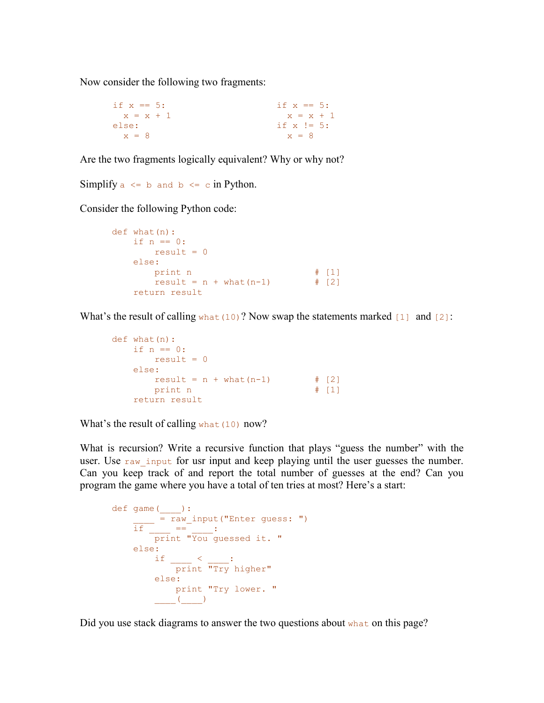Now consider the following two fragments:

| if $x == 5$ : | if $x == 5$ : |
|---------------|---------------|
| $x = x + 1$   | $x = x + 1$   |
| else:         | if $x := 5$ : |
| $x = 8$       | $x = 8$       |

Are the two fragments logically equivalent? Why or why not?

Simplify  $a \leq b$  and  $b \leq c$  in Python.

Consider the following Python code:

```
def what(n): 
  if n == 0:
     result = 0 else: 
 print n # [1] 
result = n + what(n-1) # [2]
   return result
```
What's the result of calling what  $(10)$ ? Now swap the statements marked  $[1]$  and  $[2]$ :

```
def what(n): 
  if n == 0:
      result = 0 
   else: 
result = n + what(n-1) # [2]
 print n # [1] 
   return result
```
What's the result of calling what  $(10)$  now?

What is recursion? Write a recursive function that plays "guess the number" with the user. Use  $raw$  input for usr input and keep playing until the user guesses the number. Can you keep track of and report the total number of guesses at the end? Can you program the game where you have a total of ten tries at most? Here's a start:

```
def game(____): 
\frac{1}{\sqrt{1-\frac{1}{\sqrt{1-\frac{1}{\sqrt{1-\frac{1}{\sqrt{1-\frac{1}{\sqrt{1-\frac{1}{\sqrt{1-\frac{1}{\sqrt{1-\frac{1}{\sqrt{1-\frac{1}{\sqrt{1-\frac{1}{\sqrt{1-\frac{1}{\sqrt{1-\frac{1}{\sqrt{1-\frac{1}{\sqrt{1-\frac{1}{\sqrt{1-\frac{1}{\sqrt{1-\frac{1}{\sqrt{1-\frac{1}{\sqrt{1-\frac{1}{\sqrt{1-\frac{1}{\sqrt{1-\frac{1}{\sqrt{1-\frac{1}{\sqrt{1-\frac{1}{\sqrt{1-\frac{1}{\sqrt{1-\frac{1}{\sqrt{1-\frac{1if \frac{1}{\frac{1}{2}} == \frac{1}{2}:
 print "You guessed it. " 
                             else:<br>if _
                                                     \frac{1}{2}print "Try higher"
                                           else: 
                                                      print "Try lower. " 
                                          \frac{1}{\sqrt{2\pi}} (\frac{1}{\sqrt{2\pi}})
```
Did you use stack diagrams to answer the two questions about what on this page?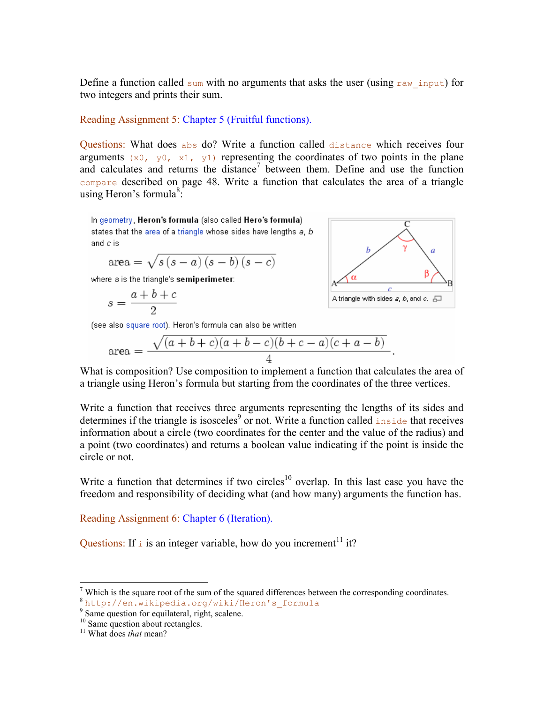Define a function called sum with no arguments that asks the user (using raw input) for two integers and prints their sum.

## Reading Assignment 5: Chapter 5 (Fruitful functions).

Questions: What does abs do? Write a function called distance which receives four arguments  $(x_0, y_0, x_1, y_1)$  representing the coordinates of two points in the plane and calculates and returns the distance<sup>7</sup> between them. Define and use the function compare described on page 48. Write a function that calculates the area of a triangle using Heron's formula<sup>8</sup>:

In geometry, Heron's formula (also called Hero's formula) states that the area of a triangle whose sides have lengths a, b and c is

$$
area = \sqrt{s(s-a)(s-b)(s-c)}
$$

where s is the triangle's semiperimeter:

$$
s = \frac{a+b+c}{2}
$$

(see also square root). Heron's formula can also be written

$$
\text{area} = \frac{\sqrt{(a+b+c)(a+b-c)(b+c-a)(c+a-b)}}{4}
$$

What is composition? Use composition to implement a function that calculates the area of a triangle using Heron's formula but starting from the coordinates of the three vertices.

Write a function that receives three arguments representing the lengths of its sides and determines if the triangle is isosceles<sup>9</sup> or not. Write a function called inside that receives information about a circle (two coordinates for the center and the value of the radius) and a point (two coordinates) and returns a boolean value indicating if the point is inside the circle or not.

Write a function that determines if two circles<sup>10</sup> overlap. In this last case you have the freedom and responsibility of deciding what (and how many) arguments the function has.

## Reading Assignment 6: Chapter 6 (Iteration).

Questions: If  $\pm$  is an integer variable, how do you increment<sup>11</sup> it?



<sup>&</sup>lt;sup>7</sup> Which is the square root of the sum of the squared differences between the corresponding coordinates.

<sup>8</sup> http://en.wikipedia.org/wiki/Heron's\_formula

<sup>&</sup>lt;sup>9</sup> Same question for equilateral, right, scalene.

 $10^{\circ}$  Same question about rectangles.

 $11$  What does *that* mean?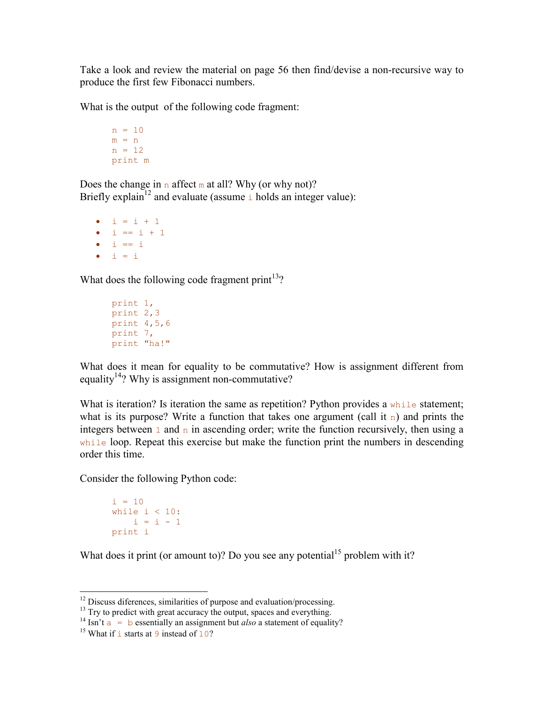Take a look and review the material on page 56 then find/devise a non-recursive way to produce the first few Fibonacci numbers.

What is the output of the following code fragment:

```
n = 10m = nn = 12 print m
```
Does the change in n affect m at all? Why (or why not)? Briefly explain<sup>12</sup> and evaluate (assume  $\frac{1}{2}$  holds an integer value):

```
• i = i + 1• i == i + 1\bullet i == i
\bullet \bullet \bullet \bullet \bullet \bullet
```
What does the following code fragment  $print^{13}$ ?

```
 print 1, 
 print 2,3 
 print 4,5,6 
 print 7, 
 print "ha!"
```
What does it mean for equality to be commutative? How is assignment different from equality<sup>14</sup>? Why is assignment non-commutative?

What is iteration? Is iteration the same as repetition? Python provides a  $whilel$  statement; what is its purpose? Write a function that takes one argument (call it n) and prints the integers between  $1$  and  $n$  in ascending order; write the function recursively, then using a while loop. Repeat this exercise but make the function print the numbers in descending order this time.

Consider the following Python code:

```
i = 10while i < 10:
i = i - 1print i
```
What does it print (or amount to)? Do you see any potential<sup>15</sup> problem with it?

<sup>-</sup> $12$  Discuss diferences, similarities of purpose and evaluation/processing.

 $13$  Try to predict with great accuracy the output, spaces and everything.

<sup>&</sup>lt;sup>14</sup> Isn't  $\overline{a}$  = b essentially an assignment but *also* a statement of equality?

<sup>&</sup>lt;sup>15</sup> What if i starts at 9 instead of  $10$ ?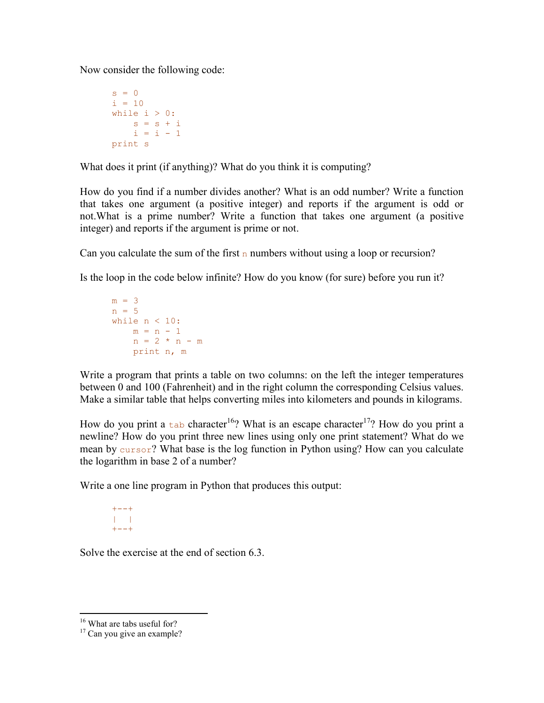Now consider the following code:

$$
s = 0
$$
\n
$$
i = 10
$$
\n
$$
while i > 0:
$$
\n
$$
s = s + i
$$
\n
$$
i = i - 1
$$
\n
$$
print s
$$

What does it print (if anything)? What do you think it is computing?

How do you find if a number divides another? What is an odd number? Write a function that takes one argument (a positive integer) and reports if the argument is odd or not.What is a prime number? Write a function that takes one argument (a positive integer) and reports if the argument is prime or not.

Can you calculate the sum of the first  $n$  numbers without using a loop or recursion?

Is the loop in the code below infinite? How do you know (for sure) before you run it?

```
m = 3n = 5while n < 10:
   m = n - 1n = 2 * n - m print n, m
```
Write a program that prints a table on two columns: on the left the integer temperatures between 0 and 100 (Fahrenheit) and in the right column the corresponding Celsius values. Make a similar table that helps converting miles into kilometers and pounds in kilograms.

How do you print a tab character<sup>16</sup>? What is an escape character<sup>17</sup>? How do you print a newline? How do you print three new lines using only one print statement? What do we mean by cursor? What base is the log function in Python using? How can you calculate the logarithm in base 2 of a number?

Write a one line program in Python that produces this output:

$$
+--+
$$
  
|-  
+--+

Solve the exercise at the end of section 6.3.

<sup>-</sup><sup>16</sup> What are tabs useful for?

 $17$  Can you give an example?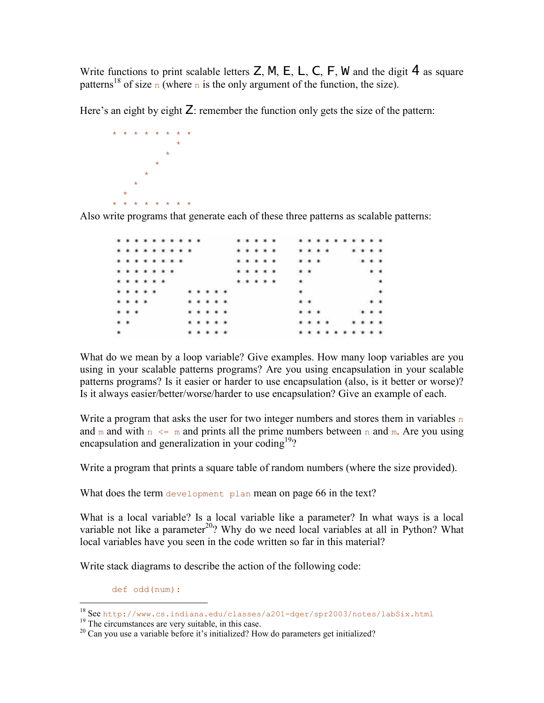Write functions to print scalable letters  $Z$ ,  $M$ ,  $E$ ,  $L$ ,  $C$ ,  $F$ ,  $W$  and the digit  $4$  as square patterns<sup>18</sup> of size n (where n is the only argument of the function, the size).

Here's an eight by eight  $Z$ : remember the function only gets the size of the pattern:



Also write programs that generate each of these three patterns as scalable patterns:

| * * * * * * * * * * |  |  |  |  |         |           |           |  | * * * * * | * * * * * * * * * * |     |         |  |  |         |        |
|---------------------|--|--|--|--|---------|-----------|-----------|--|-----------|---------------------|-----|---------|--|--|---------|--------|
| * * * * * * * * *   |  |  |  |  |         |           |           |  | * * * * * | * * * *             |     |         |  |  | * * * * |        |
| * * * * * * * *     |  |  |  |  |         |           | * * * * * |  |           | * * *               |     |         |  |  | * * *   |        |
| * * * * * * *       |  |  |  |  |         |           |           |  | *****     | * *                 |     |         |  |  | * *     |        |
| * * * * * *         |  |  |  |  |         |           | * * * * * |  |           | *                   |     |         |  |  |         | *      |
| * * * * *           |  |  |  |  |         | * * * * * |           |  |           | $\ast$              |     |         |  |  |         | $\ast$ |
| * * * *             |  |  |  |  |         | * * * * * |           |  |           |                     | * * |         |  |  | * *     |        |
| * * *               |  |  |  |  |         | * * * * * |           |  |           |                     |     | * * *   |  |  |         |        |
| * *                 |  |  |  |  |         | * * * * * |           |  |           |                     |     | * * * * |  |  | * * * * |        |
|                     |  |  |  |  | * * * * |           |           |  |           |                     |     |         |  |  | * * * * |        |
|                     |  |  |  |  |         |           |           |  |           |                     |     |         |  |  |         |        |

What do we mean by a loop variable? Give examples. How many loop variables are you using in your scalable patterns programs? Are you using encapsulation in your scalable patterns programs? Is it easier or harder to use encapsulation (also, is it better or worse)? Is it always easier/better/worse/harder to use encapsulation? Give an example of each.

Write a program that asks the user for two integer numbers and stores them in variables  $n$ and m and with  $n \leq m$  and prints all the prime numbers between n and m. Are you using encapsulation and generalization in your coding<sup>19</sup>?

Write a program that prints a square table of random numbers (where the size provided).

What does the term development plan mean on page 66 in the text?

What is a local variable? Is a local variable like a parameter? In what ways is a local variable not like a parameter<sup>20</sup>? Why do we need local variables at all in Python? What local variables have you seen in the code written so far in this material?

Write stack diagrams to describe the action of the following code:

def odd(num):

-

<sup>&</sup>lt;sup>18</sup> See http://www.cs.indiana.edu/classes/a201-dger/spr2003/notes/labSix.html

 $19$  The circumstances are very suitable, in this case.

 $20$  Can you use a variable before it's initialized? How do parameters get initialized?